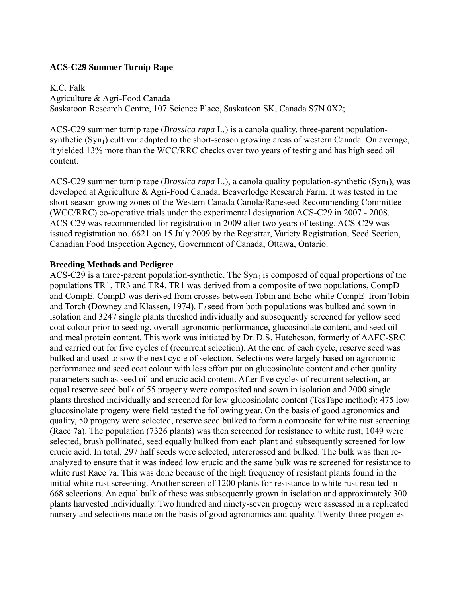# **ACS-C29 Summer Turnip Rape**

K.C. Falk Agriculture & Agri-Food Canada Saskatoon Research Centre, 107 Science Place, Saskatoon SK, Canada S7N 0X2;

ACS-C29 summer turnip rape (*Brassica rapa* L*.*) is a canola quality, three-parent populationsynthetic (Syn<sub>1</sub>) cultivar adapted to the short-season growing areas of western Canada. On average, it yielded 13% more than the WCC/RRC checks over two years of testing and has high seed oil content.

ACS-C29 summer turnip rape (*Brassica rapa* L.), a canola quality population-synthetic (Syn<sub>1</sub>), was developed at Agriculture & Agri-Food Canada, Beaverlodge Research Farm. It was tested in the short-season growing zones of the Western Canada Canola/Rapeseed Recommending Committee (WCC/RRC) co-operative trials under the experimental designation ACS-C29 in 2007 - 2008. ACS-C29 was recommended for registration in 2009 after two years of testing. ACS-C29 was issued registration no. 6621 on 15 July 2009 by the Registrar, Variety Registration, Seed Section, Canadian Food Inspection Agency, Government of Canada, Ottawa, Ontario.

## **Breeding Methods and Pedigree**

ACS-C29 is a three-parent population-synthetic. The  $Syn_0$  is composed of equal proportions of the populations TR1, TR3 and TR4. TR1 was derived from a composite of two populations, CompD and CompE. CompD was derived from crosses between Tobin and Echo while CompE from Tobin and Torch (Downey and Klassen, 1974).  $F_2$  seed from both populations was bulked and sown in isolation and 3247 single plants threshed individually and subsequently screened for yellow seed coat colour prior to seeding, overall agronomic performance, glucosinolate content, and seed oil and meal protein content. This work was initiated by Dr. D.S. Hutcheson, formerly of AAFC-SRC and carried out for five cycles of (recurrent selection). At the end of each cycle, reserve seed was bulked and used to sow the next cycle of selection. Selections were largely based on agronomic performance and seed coat colour with less effort put on glucosinolate content and other quality parameters such as seed oil and erucic acid content. After five cycles of recurrent selection, an equal reserve seed bulk of 55 progeny were composited and sown in isolation and 2000 single plants threshed individually and screened for low glucosinolate content (TesTape method); 475 low glucosinolate progeny were field tested the following year. On the basis of good agronomics and quality, 50 progeny were selected, reserve seed bulked to form a composite for white rust screening (Race 7a). The population (7326 plants) was then screened for resistance to white rust; 1049 were selected, brush pollinated, seed equally bulked from each plant and subsequently screened for low erucic acid. In total, 297 half seeds were selected, intercrossed and bulked. The bulk was then reanalyzed to ensure that it was indeed low erucic and the same bulk was re screened for resistance to white rust Race 7a. This was done because of the high frequency of resistant plants found in the initial white rust screening. Another screen of 1200 plants for resistance to white rust resulted in 668 selections. An equal bulk of these was subsequently grown in isolation and approximately 300 plants harvested individually. Two hundred and ninety-seven progeny were assessed in a replicated nursery and selections made on the basis of good agronomics and quality. Twenty-three progenies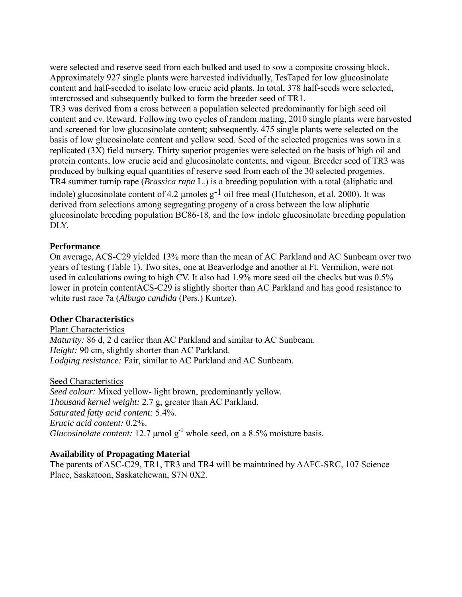were selected and reserve seed from each bulked and used to sow a composite crossing block. Approximately 927 single plants were harvested individually, TesTaped for low glucosinolate content and half-seeded to isolate low erucic acid plants. In total, 378 half-seeds were selected, intercrossed and subsequently bulked to form the breeder seed of TR1.

TR3 was derived from a cross between a population selected predominantly for high seed oil content and cv. Reward. Following two cycles of random mating, 2010 single plants were harvested and screened for low glucosinolate content; subsequently, 475 single plants were selected on the basis of low glucosinolate content and yellow seed. Seed of the selected progenies was sown in a replicated (3X) field nursery. Thirty superior progenies were selected on the basis of high oil and protein contents, low erucic acid and glucosinolate contents, and vigour. Breeder seed of TR3 was produced by bulking equal quantities of reserve seed from each of the 30 selected progenies. TR4 summer turnip rape (*Brassica rapa* L.) is a breeding population with a total (aliphatic and indole) glucosinolate content of 4.2  $\mu$ moles g<sup>-1</sup> oil free meal (Hutcheson, et al. 2000). It was derived from selections among segregating progeny of a cross between the low aliphatic glucosinolate breeding population BC86-18, and the low indole glucosinolate breeding population DLY.

## **Performance**

On average, ACS-C29 yielded 13% more than the mean of AC Parkland and AC Sunbeam over two years of testing (Table 1). Two sites, one at Beaverlodge and another at Ft. Vermilion, were not used in calculations owing to high CV. It also had 1.9% more seed oil the checks but was 0.5% lower in protein contentACS-C29 is slightly shorter than AC Parkland and has good resistance to white rust race 7a (*Albugo candida* (Pers.) Kuntze).

## **Other Characteristics**

Plant Characteristics *Maturity:* 86 d, 2 d earlier than AC Parkland and similar to AC Sunbeam. *Height:* 90 cm, slightly shorter than AC Parkland. *Lodging resistance:* Fair, similar to AC Parkland and AC Sunbeam.

Seed Characteristics

*Seed colour:* Mixed yellow- light brown, predominantly yellow. *Thousand kernel weight:* 2.7 g, greater than AC Parkland. *Saturated fatty acid content:* 5.4%. *Erucic acid content:* 0.2%. *Glucosinolate content:* 12.7  $\mu$ mol  $g^{-1}$  whole seed, on a 8.5% moisture basis.

## **Availability of Propagating Material**

The parents of ASC-C29, TR1, TR3 and TR4 will be maintained by AAFC-SRC, 107 Science Place, Saskatoon, Saskatchewan, S7N 0X2.